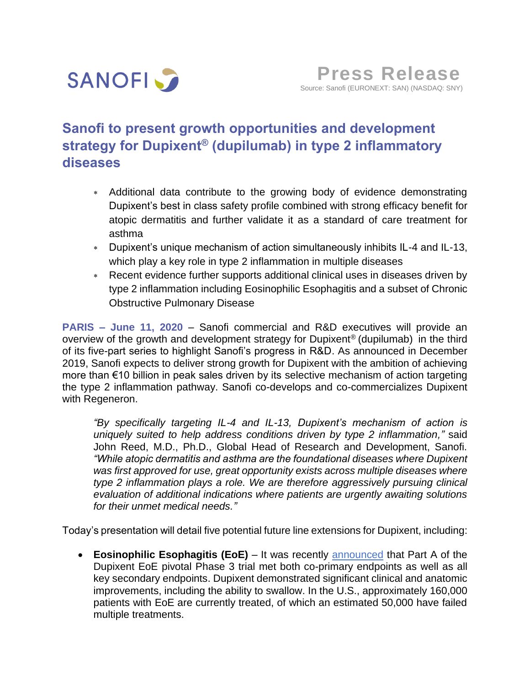

# **Sanofi to present growth opportunities and development strategy for Dupixent® (dupilumab) in type 2 inflammatory diseases**

- Additional data contribute to the growing body of evidence demonstrating Dupixent's best in class safety profile combined with strong efficacy benefit for atopic dermatitis and further validate it as a standard of care treatment for asthma
- Dupixent's unique mechanism of action simultaneously inhibits IL-4 and IL-13, which play a key role in type 2 inflammation in multiple diseases
- Recent evidence further supports additional clinical uses in diseases driven by type 2 inflammation including Eosinophilic Esophagitis and a subset of Chronic Obstructive Pulmonary Disease

**PARIS – June 11, 2020** – Sanofi commercial and R&D executives will provide an overview of the growth and development strategy for Dupixent® (dupilumab) in the third of its five-part series to highlight Sanofi's progress in R&D. As announced in December 2019, Sanofi expects to deliver strong growth for Dupixent with the ambition of achieving more than €10 billion in peak sales driven by its selective mechanism of action targeting the type 2 inflammation pathway. Sanofi co-develops and co-commercializes Dupixent with Regeneron.

*"By specifically targeting IL-4 and IL-13, Dupixent's mechanism of action is uniquely suited to help address conditions driven by type 2 inflammation,"* said John Reed, M.D., Ph.D., Global Head of Research and Development, Sanofi. *"While atopic dermatitis and asthma are the foundational diseases where Dupixent was first approved for use, great opportunity exists across multiple diseases where type 2 inflammation plays a role. We are therefore aggressively pursuing clinical evaluation of additional indications where patients are urgently awaiting solutions for their unmet medical needs."*

Today's presentation will detail five potential future line extensions for Dupixent, including:

• **Eosinophilic Esophagitis (EoE)** – It was recently [announced](https://www.sanofi.com/en/media-room/press-releases/2020/2020-05-23-00-25-00) that Part A of the Dupixent EoE pivotal Phase 3 trial met both co-primary endpoints as well as all key secondary endpoints. Dupixent demonstrated significant clinical and anatomic improvements, including the ability to swallow. In the U.S., approximately 160,000 patients with EoE are currently treated, of which an estimated 50,000 have failed multiple treatments.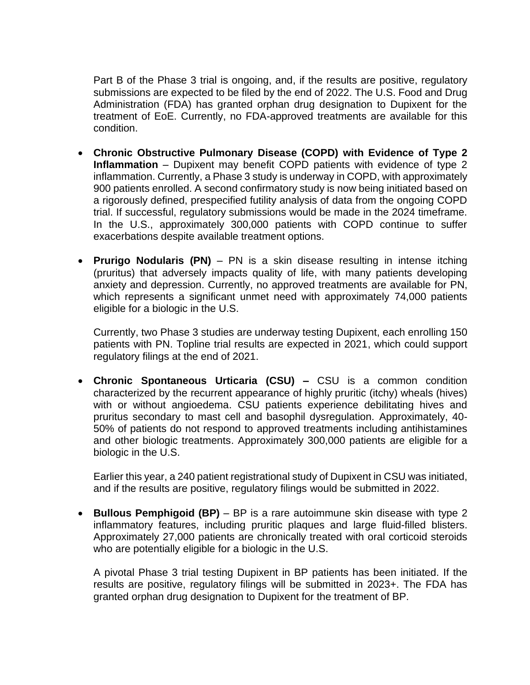Part B of the Phase 3 trial is ongoing, and, if the results are positive, regulatory submissions are expected to be filed by the end of 2022. The U.S. Food and Drug Administration (FDA) has granted orphan drug designation to Dupixent for the treatment of EoE. Currently, no FDA-approved treatments are available for this condition.

- **Chronic Obstructive Pulmonary Disease (COPD) with Evidence of Type 2 Inflammation** – Dupixent may benefit COPD patients with evidence of type 2 inflammation. Currently, a Phase 3 study is underway in COPD, with approximately 900 patients enrolled. A second confirmatory study is now being initiated based on a rigorously defined, prespecified futility analysis of data from the ongoing COPD trial. If successful, regulatory submissions would be made in the 2024 timeframe. In the U.S., approximately 300,000 patients with COPD continue to suffer exacerbations despite available treatment options.
- **Prurigo Nodularis (PN)** PN is a skin disease resulting in intense itching (pruritus) that adversely impacts quality of life, with many patients developing anxiety and depression. Currently, no approved treatments are available for PN, which represents a significant unmet need with approximately 74,000 patients eligible for a biologic in the U.S.

Currently, two Phase 3 studies are underway testing Dupixent, each enrolling 150 patients with PN. Topline trial results are expected in 2021, which could support regulatory filings at the end of 2021.

• **Chronic Spontaneous Urticaria (CSU) –** CSU is a common condition characterized by the recurrent appearance of highly pruritic (itchy) wheals (hives) with or without angioedema. CSU patients experience debilitating hives and pruritus secondary to mast cell and basophil dysregulation. Approximately, 40- 50% of patients do not respond to approved treatments including antihistamines and other biologic treatments. Approximately 300,000 patients are eligible for a biologic in the U.S.

Earlier this year, a 240 patient registrational study of Dupixent in CSU was initiated, and if the results are positive, regulatory filings would be submitted in 2022.

• **Bullous Pemphigoid (BP)** – BP is a rare autoimmune skin disease with type 2 inflammatory features, including pruritic plaques and large fluid-filled blisters. Approximately 27,000 patients are chronically treated with oral corticoid steroids who are potentially eligible for a biologic in the U.S.

A pivotal Phase 3 trial testing Dupixent in BP patients has been initiated. If the results are positive, regulatory filings will be submitted in 2023+. The FDA has granted orphan drug designation to Dupixent for the treatment of BP.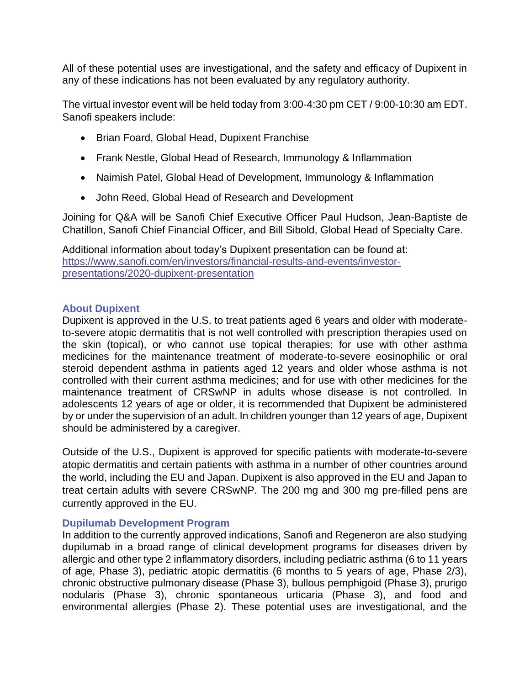All of these potential uses are investigational, and the safety and efficacy of Dupixent in any of these indications has not been evaluated by any regulatory authority.

The virtual investor event will be held today from 3:00-4:30 pm CET / 9:00-10:30 am EDT. Sanofi speakers include:

- Brian Foard, Global Head, Dupixent Franchise
- Frank Nestle, Global Head of Research, Immunology & Inflammation
- Naimish Patel, Global Head of Development, Immunology & Inflammation
- John Reed, Global Head of Research and Development

Joining for Q&A will be Sanofi Chief Executive Officer Paul Hudson, Jean-Baptiste de Chatillon, Sanofi Chief Financial Officer, and Bill Sibold, Global Head of Specialty Care.

Additional information about today's Dupixent presentation can be found at: [https://www.sanofi.com/en/investors/financial-results-and-events/investor](https://www.sanofi.com/en/investors/financial-results-and-events/investor-presentations/2020-dupixent-presentation)[presentations/2020-dupixent-presentation](https://www.sanofi.com/en/investors/financial-results-and-events/investor-presentations/2020-dupixent-presentation)

### **About Dupixent**

Dupixent is approved in the U.S. to treat patients aged 6 years and older with moderateto-severe atopic dermatitis that is not well controlled with prescription therapies used on the skin (topical), or who cannot use topical therapies; for use with other asthma medicines for the maintenance treatment of moderate-to-severe eosinophilic or oral steroid dependent asthma in patients aged 12 years and older whose asthma is not controlled with their current asthma medicines; and for use with other medicines for the maintenance treatment of CRSwNP in adults whose disease is not controlled. In adolescents 12 years of age or older, it is recommended that Dupixent be administered by or under the supervision of an adult. In children younger than 12 years of age, Dupixent should be administered by a caregiver.

Outside of the U.S., Dupixent is approved for specific patients with moderate-to-severe atopic dermatitis and certain patients with asthma in a number of other countries around the world, including the EU and Japan. Dupixent is also approved in the EU and Japan to treat certain adults with severe CRSwNP. The 200 mg and 300 mg pre-filled pens are currently approved in the EU.

## **Dupilumab Development Program**

In addition to the currently approved indications, Sanofi and Regeneron are also studying dupilumab in a broad range of clinical development programs for diseases driven by allergic and other type 2 inflammatory disorders, including pediatric asthma (6 to 11 years of age, Phase 3), pediatric atopic dermatitis (6 months to 5 years of age, Phase 2/3), chronic obstructive pulmonary disease (Phase 3), bullous pemphigoid (Phase 3), prurigo nodularis (Phase 3), chronic spontaneous urticaria (Phase 3), and food and environmental allergies (Phase 2). These potential uses are investigational, and the